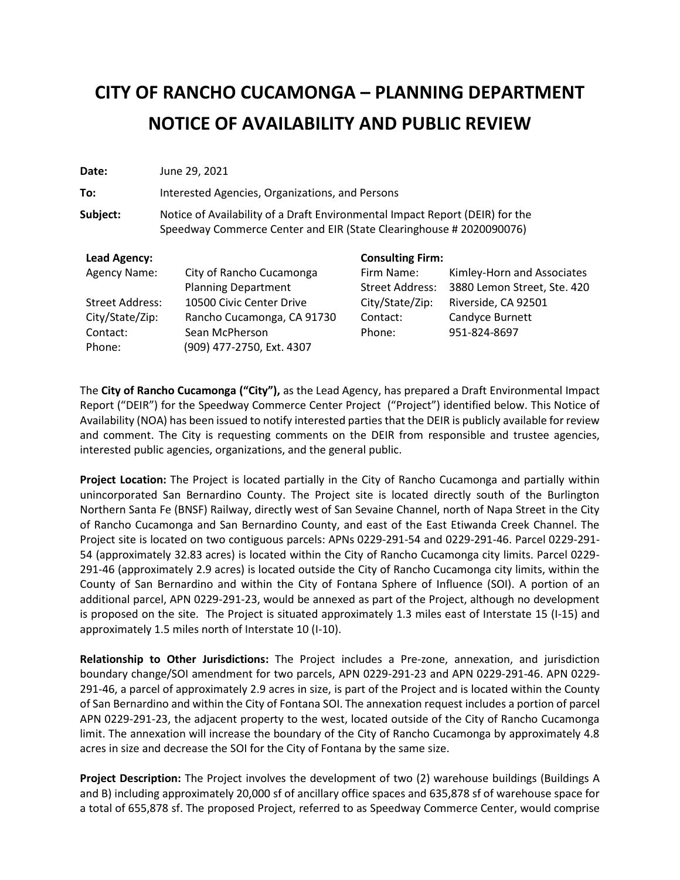# **CITY OF RANCHO CUCAMONGA – PLANNING DEPARTMENT NOTICE OF AVAILABILITY AND PUBLIC REVIEW**

| Date:                  | June 29, 2021                                                                                                                                       |                                      |                                                           |
|------------------------|-----------------------------------------------------------------------------------------------------------------------------------------------------|--------------------------------------|-----------------------------------------------------------|
| To:                    | Interested Agencies, Organizations, and Persons                                                                                                     |                                      |                                                           |
| Subject:               | Notice of Availability of a Draft Environmental Impact Report (DEIR) for the<br>Speedway Commerce Center and EIR (State Clearinghouse # 2020090076) |                                      |                                                           |
| Lead Agency:           |                                                                                                                                                     | <b>Consulting Firm:</b>              |                                                           |
| <b>Agency Name:</b>    | City of Rancho Cucamonga<br><b>Planning Department</b>                                                                                              | Firm Name:<br><b>Street Address:</b> | Kimley-Horn and Associates<br>3880 Lemon Street, Ste. 420 |
| <b>Street Address:</b> | 10500 Civic Center Drive                                                                                                                            | City/State/Zip:                      | Riverside, CA 92501                                       |
| City/State/Zip:        | Rancho Cucamonga, CA 91730                                                                                                                          | Contact:                             | Candyce Burnett                                           |
| Contact:               | Sean McPherson                                                                                                                                      | Phone:                               | 951-824-8697                                              |
| Phone:                 | (909) 477-2750, Ext. 4307                                                                                                                           |                                      |                                                           |

The **City of Rancho Cucamonga ("City"),** as the Lead Agency, has prepared a Draft Environmental Impact Report ("DEIR") for the Speedway Commerce Center Project ("Project") identified below. This Notice of Availability (NOA) has been issued to notify interested parties that the DEIR is publicly available for review and comment. The City is requesting comments on the DEIR from responsible and trustee agencies, interested public agencies, organizations, and the general public.

**Project Location:** The Project is located partially in the City of Rancho Cucamonga and partially within unincorporated San Bernardino County. The Project site is located directly south of the Burlington Northern Santa Fe (BNSF) Railway, directly west of San Sevaine Channel, north of Napa Street in the City of Rancho Cucamonga and San Bernardino County, and east of the East Etiwanda Creek Channel. The Project site is located on two contiguous parcels: APNs 0229-291-54 and 0229-291-46. Parcel 0229-291- 54 (approximately 32.83 acres) is located within the City of Rancho Cucamonga city limits. Parcel 0229- 291-46 (approximately 2.9 acres) is located outside the City of Rancho Cucamonga city limits, within the County of San Bernardino and within the City of Fontana Sphere of Influence (SOI). A portion of an additional parcel, APN 0229-291-23, would be annexed as part of the Project, although no development is proposed on the site. The Project is situated approximately 1.3 miles east of Interstate 15 (I-15) and approximately 1.5 miles north of Interstate 10 (I-10).

**Relationship to Other Jurisdictions:** The Project includes a Pre-zone, annexation, and jurisdiction boundary change/SOI amendment for two parcels, APN 0229-291-23 and APN 0229-291-46. APN 0229- 291-46, a parcel of approximately 2.9 acres in size, is part of the Project and is located within the County of San Bernardino and within the City of Fontana SOI. The annexation request includes a portion of parcel APN 0229-291-23, the adjacent property to the west, located outside of the City of Rancho Cucamonga limit. The annexation will increase the boundary of the City of Rancho Cucamonga by approximately 4.8 acres in size and decrease the SOI for the City of Fontana by the same size.

**Project Description:** The Project involves the development of two (2) warehouse buildings (Buildings A and B) including approximately 20,000 sf of ancillary office spaces and 635,878 sf of warehouse space for a total of 655,878 sf. The proposed Project, referred to as Speedway Commerce Center, would comprise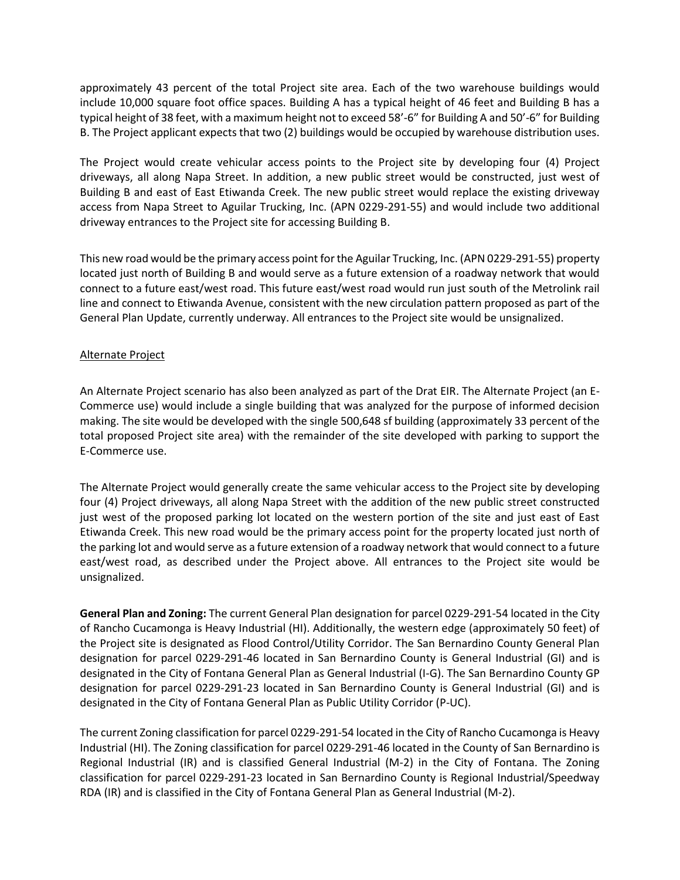approximately 43 percent of the total Project site area. Each of the two warehouse buildings would include 10,000 square foot office spaces. Building A has a typical height of 46 feet and Building B has a typical height of 38 feet, with a maximum height not to exceed 58'-6" for Building A and 50'-6" for Building B. The Project applicant expects that two (2) buildings would be occupied by warehouse distribution uses.

The Project would create vehicular access points to the Project site by developing four (4) Project driveways, all along Napa Street. In addition, a new public street would be constructed, just west of Building B and east of East Etiwanda Creek. The new public street would replace the existing driveway access from Napa Street to Aguilar Trucking, Inc. (APN 0229-291-55) and would include two additional driveway entrances to the Project site for accessing Building B.

This new road would be the primary access point for the Aguilar Trucking, Inc. (APN 0229-291-55) property located just north of Building B and would serve as a future extension of a roadway network that would connect to a future east/west road. This future east/west road would run just south of the Metrolink rail line and connect to Etiwanda Avenue, consistent with the new circulation pattern proposed as part of the General Plan Update, currently underway. All entrances to the Project site would be unsignalized.

#### Alternate Project

An Alternate Project scenario has also been analyzed as part of the Drat EIR. The Alternate Project (an E-Commerce use) would include a single building that was analyzed for the purpose of informed decision making. The site would be developed with the single 500,648 sf building (approximately 33 percent of the total proposed Project site area) with the remainder of the site developed with parking to support the E-Commerce use.

The Alternate Project would generally create the same vehicular access to the Project site by developing four (4) Project driveways, all along Napa Street with the addition of the new public street constructed just west of the proposed parking lot located on the western portion of the site and just east of East Etiwanda Creek. This new road would be the primary access point for the property located just north of the parking lot and would serve as a future extension of a roadway network that would connect to a future east/west road, as described under the Project above. All entrances to the Project site would be unsignalized.

**General Plan and Zoning:** The current General Plan designation for parcel 0229-291-54 located in the City of Rancho Cucamonga is Heavy Industrial (HI). Additionally, the western edge (approximately 50 feet) of the Project site is designated as Flood Control/Utility Corridor. The San Bernardino County General Plan designation for parcel 0229-291-46 located in San Bernardino County is General Industrial (GI) and is designated in the City of Fontana General Plan as General Industrial (I-G). The San Bernardino County GP designation for parcel 0229-291-23 located in San Bernardino County is General Industrial (GI) and is designated in the City of Fontana General Plan as Public Utility Corridor (P-UC).

The current Zoning classification for parcel 0229-291-54 located in the City of Rancho Cucamonga is Heavy Industrial (HI). The Zoning classification for parcel 0229-291-46 located in the County of San Bernardino is Regional Industrial (IR) and is classified General Industrial (M-2) in the City of Fontana. The Zoning classification for parcel 0229-291-23 located in San Bernardino County is Regional Industrial/Speedway RDA (IR) and is classified in the City of Fontana General Plan as General Industrial (M-2).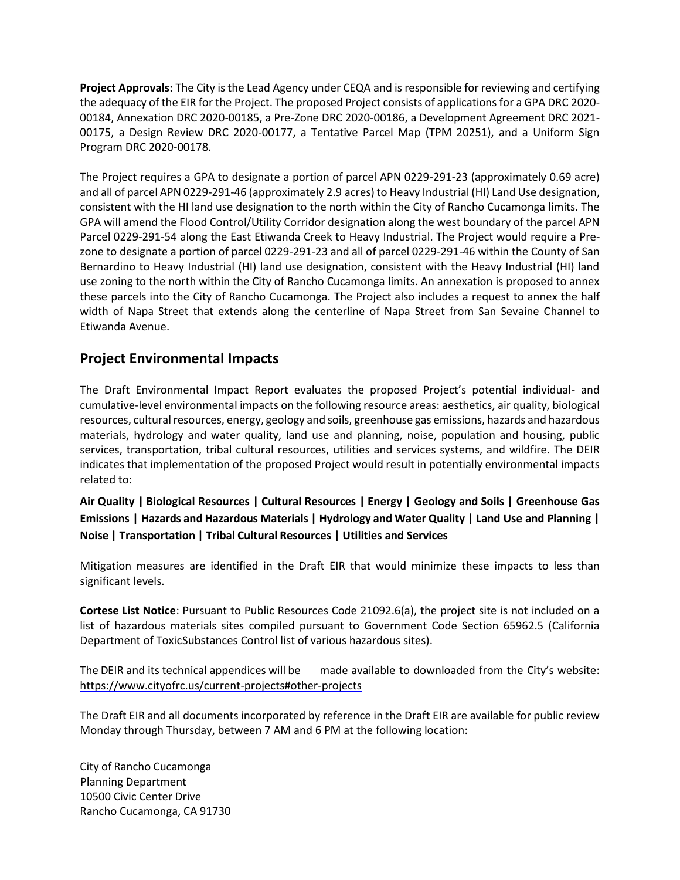**Project Approvals:** The City is the Lead Agency under CEQA and is responsible for reviewing and certifying the adequacy of the EIR for the Project. The proposed Project consists of applications for a GPA DRC 2020- 00184, Annexation DRC 2020-00185, a Pre-Zone DRC 2020-00186, a Development Agreement DRC 2021- 00175, a Design Review DRC 2020-00177, a Tentative Parcel Map (TPM 20251), and a Uniform Sign Program DRC 2020-00178.

The Project requires a GPA to designate a portion of parcel APN 0229-291-23 (approximately 0.69 acre) and all of parcel APN 0229-291-46 (approximately 2.9 acres) to Heavy Industrial (HI) Land Use designation, consistent with the HI land use designation to the north within the City of Rancho Cucamonga limits. The GPA will amend the Flood Control/Utility Corridor designation along the west boundary of the parcel APN Parcel 0229-291-54 along the East Etiwanda Creek to Heavy Industrial. The Project would require a Prezone to designate a portion of parcel 0229-291-23 and all of parcel 0229-291-46 within the County of San Bernardino to Heavy Industrial (HI) land use designation, consistent with the Heavy Industrial (HI) land use zoning to the north within the City of Rancho Cucamonga limits. An annexation is proposed to annex these parcels into the City of Rancho Cucamonga. The Project also includes a request to annex the half width of Napa Street that extends along the centerline of Napa Street from San Sevaine Channel to Etiwanda Avenue.

## **Project Environmental Impacts**

The Draft Environmental Impact Report evaluates the proposed Project's potential individual- and cumulative-level environmental impacts on the following resource areas: aesthetics, air quality, biological resources, cultural resources, energy, geology and soils, greenhouse gas emissions, hazards and hazardous materials, hydrology and water quality, land use and planning, noise, population and housing, public services, transportation, tribal cultural resources, utilities and services systems, and wildfire. The DEIR indicates that implementation of the proposed Project would result in potentially environmental impacts related to:

**Air Quality | Biological Resources | Cultural Resources | Energy | Geology and Soils | Greenhouse Gas Emissions | Hazards and Hazardous Materials | Hydrology and Water Quality | Land Use and Planning | Noise | Transportation | Tribal Cultural Resources | Utilities and Services**

Mitigation measures are identified in the Draft EIR that would minimize these impacts to less than significant levels.

**Cortese List Notice**: Pursuant to Public Resources Code 21092.6(a), the project site is not included on a list of hazardous materials sites compiled pursuant to Government Code Section 65962.5 (California Department of ToxicSubstances Control list of various hazardous sites).

The DEIR and its technical appendices will be made available to downloaded from the City's website: <https://www.cityofrc.us/current-projects#other-projects>

The Draft EIR and all documents incorporated by reference in the Draft EIR are available for public review Monday through Thursday, between 7 AM and 6 PM at the following location:

City of Rancho Cucamonga Planning Department 10500 Civic Center Drive Rancho Cucamonga, CA 91730